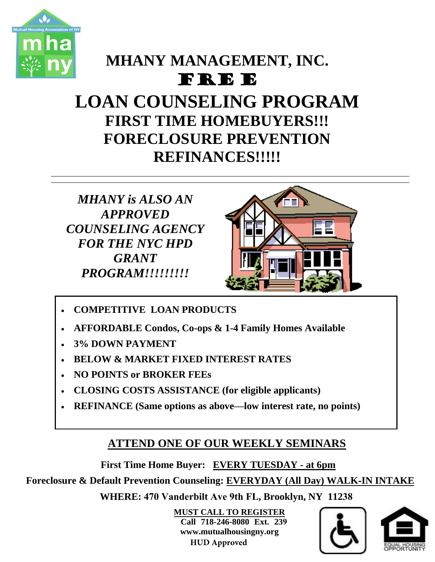

# **MHANY MANAGEMENT, INC.**

### FRE E

# **LOAN COUNSELING PROGRAM FIRST TIME HOMEBUYERS!!! FORECLOSURE PREVENTION REFINANCES!!!!!**

*MHANY is ALSO AN APPROVED COUNSELING AGENCY FOR THE NYC HPD GRANT PROGRAM!!!!!!!!!*



- **COMPETITIVE LOAN PRODUCTS**
- **AFFORDABLE Condos, Co-ops & 1-4 Family Homes Available**
- **3% DOWN PAYMENT**
- **BELOW & MARKET FIXED INTEREST RATES**
- **NO POINTS or BROKER FEEs**
- **CLOSING COSTS ASSISTANCE (for eligible applicants)**
- **REFINANCE (Same options as above—low interest rate, no points)**

#### **ATTEND ONE OF OUR WEEKLY SEMINARS**

**First Time Home Buyer: EVERY TUESDAY - at 6pm**

**Foreclosure & Default Prevention Counseling: EVERYDAY (All Day) WALK-IN INTAKE**

**WHERE: 470 Vanderbilt Ave 9th FL, Brooklyn, NY 11238**

**MUST CALL TO REGISTER Call 718-246-8080 Ext. 239 www.mutualhousingny.org HUD Approved**